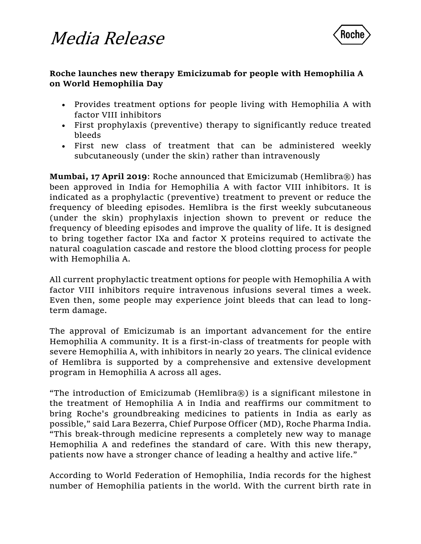

### **Roche launches new therapy Emicizumab for people with Hemophilia A on World Hemophilia Day**

- Provides treatment options for people living with Hemophilia A with factor VIII inhibitors
- First prophylaxis (preventive) therapy to significantly reduce treated bleeds
- First new class of treatment that can be administered weekly subcutaneously (under the skin) rather than intravenously

**Mumbai, 17 April 2019**: Roche announced that Emicizumab (Hemlibra®) has been approved in India for Hemophilia A with factor VIII inhibitors. It is indicated as a prophylactic (preventive) treatment to prevent or reduce the frequency of bleeding episodes. Hemlibra is the first weekly subcutaneous (under the skin) prophylaxis injection shown to prevent or reduce the frequency of bleeding episodes and improve the quality of life. It is designed to bring together factor IXa and factor X proteins required to activate the natural coagulation cascade and restore the blood clotting process for people with Hemophilia A.

All current prophylactic treatment options for people with Hemophilia A with factor VIII inhibitors require intravenous infusions several times a week. Even then, some people may experience joint bleeds that can lead to longterm damage.

The approval of Emicizumab is an important advancement for the entire Hemophilia A community. It is a first-in-class of treatments for people with severe Hemophilia A, with inhibitors in nearly 20 years. The clinical evidence of Hemlibra is supported by a comprehensive and extensive development program in Hemophilia A across all ages.

"The introduction of Emicizumab (Hemlibra®) is a significant milestone in the treatment of Hemophilia A in India and reaffirms our commitment to bring Roche's groundbreaking medicines to patients in India as early as possible," said Lara Bezerra, Chief Purpose Officer (MD), Roche Pharma India. "This break-through medicine represents a completely new way to manage Hemophilia A and redefines the standard of care. With this new therapy, patients now have a stronger chance of leading a healthy and active life."

According to World Federation of Hemophilia, India records for the highest number of Hemophilia patients in the world. With the current birth rate in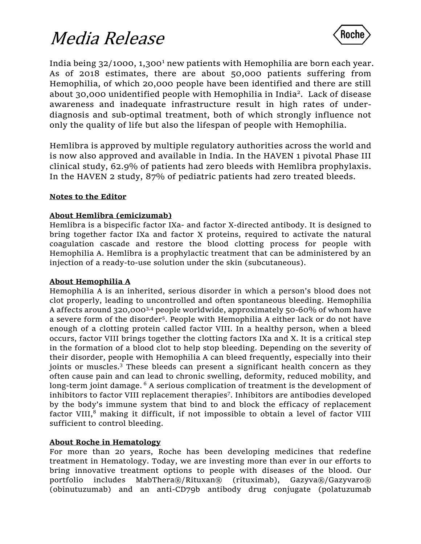

India being 32/1000, 1,300<sup>1</sup> new patients with Hemophilia are born each year. As of 2018 estimates, there are about 50,000 patients suffering from Hemophilia, of which 20,000 people have been identified and there are still about 30,000 unidentified people with Hemophilia in India<sup>2</sup> . Lack of disease awareness and inadequate infrastructure result in high rates of underdiagnosis and sub-optimal treatment, both of which strongly influence not only the quality of life but also the lifespan of people with Hemophilia.

Hemlibra is approved by multiple regulatory authorities across the world and is now also approved and available in India. In the HAVEN 1 pivotal Phase III clinical study, 62.9% of patients had zero bleeds with Hemlibra prophylaxis. In the HAVEN 2 study, 87% of pediatric patients had zero treated bleeds.

#### **Notes to the Editor**

#### **About Hemlibra (emicizumab)**

Hemlibra is a bispecific factor IXa- and factor X-directed antibody. It is designed to bring together factor IXa and factor X proteins, required to activate the natural coagulation cascade and restore the blood clotting process for people with Hemophilia A. Hemlibra is a prophylactic treatment that can be administered by an injection of a ready-to-use solution under the skin (subcutaneous).

#### **About Hemophilia A**

Hemophilia A is an inherited, serious disorder in which a person's blood does not clot properly, leading to uncontrolled and often spontaneous bleeding. Hemophilia A affects around 320,0003,4 people worldwide, approximately 50-60% of whom have a severe form of the disorder<sup>5</sup>. People with Hemophilia A either lack or do not have enough of a clotting protein called factor VIII. In a healthy person, when a bleed occurs, factor VIII brings together the clotting factors IXa and X. It is a critical step in the formation of a blood clot to help stop bleeding. Depending on the severity of their disorder, people with Hemophilia A can bleed frequently, especially into their joints or muscles.<sup>3</sup> These bleeds can present a significant health concern as they often cause pain and can lead to chronic swelling, deformity, reduced mobility, and long-term joint damage.<sup>6</sup> A serious complication of treatment is the development of inhibitors to factor VIII replacement therapies<sup>7</sup> . Inhibitors are antibodies developed by the body's immune system that bind to and block the efficacy of replacement factor VIII, $<sup>8</sup>$  making it difficult, if not impossible to obtain a level of factor VIII</sup> sufficient to control bleeding.

#### **About Roche in Hematology**

For more than 20 years, Roche has been developing medicines that redefine treatment in Hematology. Today, we are investing more than ever in our efforts to bring innovative treatment options to people with diseases of the blood. Our portfolio includes MabThera®/Rituxan® (rituximab), Gazyva®/Gazyvaro® (obinutuzumab) and an anti-CD79b antibody drug conjugate (polatuzumab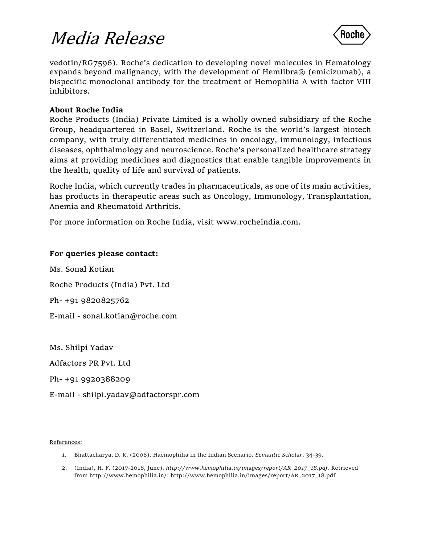

vedotin/RG7596). Roche's dedication to developing novel molecules in Hematology expands beyond malignancy, with the development of Hemlibra® (emicizumab), a bispecific monoclonal antibody for the treatment of Hemophilia A with factor VIII inhibitors.

#### **About Roche India**

Roche Products (India) Private Limited is a wholly owned subsidiary of the Roche Group, headquartered in Basel, Switzerland. Roche is the world's largest biotech company, with truly differentiated medicines in oncology, immunology, infectious diseases, ophthalmology and neuroscience. Roche's personalized healthcare strategy aims at providing medicines and diagnostics that enable tangible improvements in the health, quality of life and survival of patients.

Roche India, which currently trades in pharmaceuticals, as one of its main activities, has products in therapeutic areas such as Oncology, Immunology, Transplantation, Anemia and Rheumatoid Arthritis.

For more information on Roche India, visit [www.rocheindia.com.](http://www.rocheindia.com/)

#### **For queries please contact:**

Ms. Sonal Kotian Roche Products (India) Pvt. Ltd Ph- +91 9820825762 E-mail - sonal.kotian@roche.com

Ms. Shilpi Yadav Adfactors PR Pvt. Ltd Ph- +91 9920388209 E-mail - shilpi.yadav@adfactorspr.com

References:

- 1. Bhattacharya, D. K. (2006). Haemophilia in the Indian Scenario. *Semantic Scholar*, 34-39.
- 2. (India), H. F. (2017-2018, June). *http://www.hemophilia.in/images/report/AR\_2017\_18.pdf.* Retrieved from http://www.hemophilia.in/: http://www.hemophilia.in/images/report/AR\_2017\_18.pdf